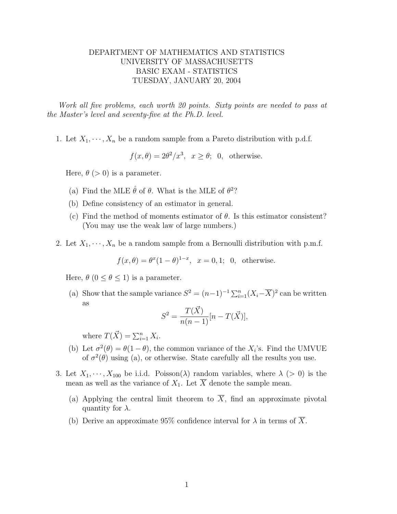## DEPARTMENT OF MATHEMATICS AND STATISTICS UNIVERSITY OF MASSACHUSETTS BASIC EXAM - STATISTICS TUESDAY, JANUARY 20, 2004

Work all five problems, each worth 20 points. Sixty points are needed to pass at the Master's level and seventy-five at the Ph.D. level.

1. Let  $X_1, \dots, X_n$  be a random sample from a Pareto distribution with p.d.f.

$$
f(x, \theta) = 2\theta^2/x^3
$$
,  $x \ge \theta$ ; 0, otherwise.

Here,  $\theta$  (> 0) is a parameter.

- (a) Find the MLE  $\hat{\theta}$  of  $\theta$ . What is the MLE of  $\theta^2$ ?
- (b) Define consistency of an estimator in general.
- (c) Find the method of moments estimator of  $\theta$ . Is this estimator consistent? (You may use the weak law of large numbers.)
- 2. Let  $X_1, \dots, X_n$  be a random sample from a Bernoulli distribution with p.m.f.

$$
f(x,\theta) = \theta^x (1-\theta)^{1-x}, \quad x = 0,1; \quad 0, \quad \text{otherwise.}
$$

Here,  $\theta$  ( $0 \le \theta \le 1$ ) is a parameter.

(a) Show that the sample variance  $S^2 = (n-1)^{-1} \sum_{i=1}^n (X_i - \overline{X})^2$  can be written as

$$
S^{2} = \frac{T(\vec{X})}{n(n-1)} [n - T(\vec{X})],
$$

where  $T(\vec{X}) = \sum_{i=1}^{n} X_i$ .

- (b) Let  $\sigma^2(\theta) = \theta(1-\theta)$ , the common variance of the  $X_i$ 's. Find the UMVUE of  $\sigma^2(\theta)$  using (a), or otherwise. State carefully all the results you use.
- 3. Let  $X_1, \dots, X_{100}$  be i.i.d. Poisson( $\lambda$ ) random variables, where  $\lambda$  ( $> 0$ ) is the mean as well as the variance of  $X_1$ . Let  $\overline{X}$  denote the sample mean.
	- (a) Applying the central limit theorem to  $\overline{X}$ , find an approximate pivotal quantity for  $\lambda$ .
	- (b) Derive an approximate 95% confidence interval for  $\lambda$  in terms of  $\overline{X}$ .